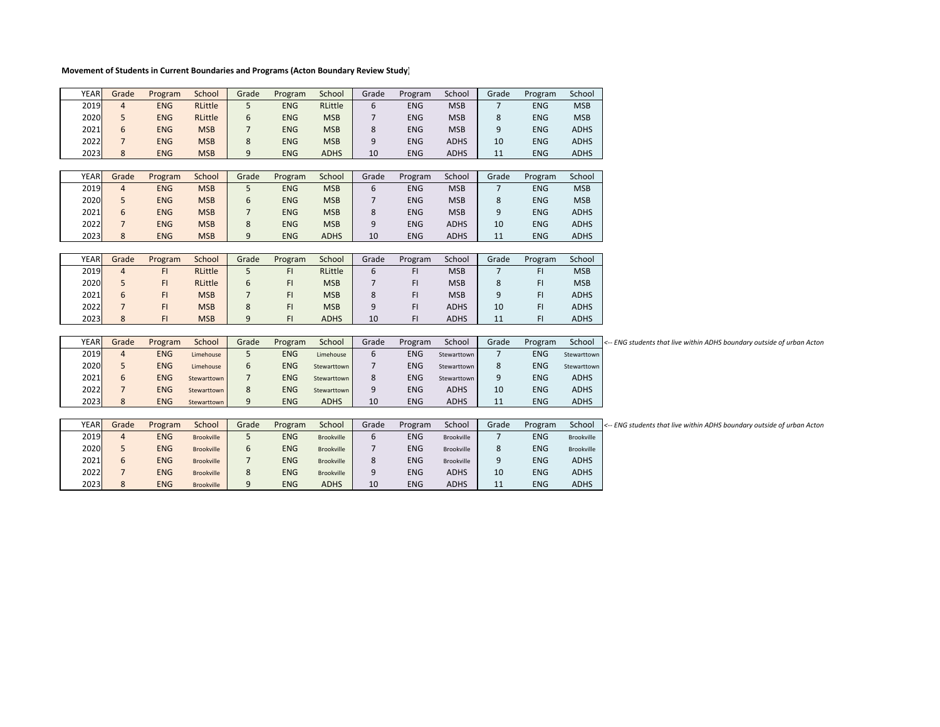## **Movement of Students in Current Boundaries and Programs (Acton Boundary Review Study)**

|  | <b>YEAR</b> | Grade          | Program    | School            | Grade          | Program    | School      | Grade | Program    | School      | Grade          | Program    | School      |                                                                        |
|--|-------------|----------------|------------|-------------------|----------------|------------|-------------|-------|------------|-------------|----------------|------------|-------------|------------------------------------------------------------------------|
|  | 2019        | $\overline{4}$ | <b>ENG</b> | RLittle           | 5              | <b>ENG</b> | RLittle     | 6     | <b>ENG</b> | <b>MSB</b>  | $\overline{7}$ | <b>ENG</b> | <b>MSB</b>  |                                                                        |
|  | 2020        | 5              | <b>ENG</b> | RLittle           | 6              | <b>ENG</b> | <b>MSB</b>  |       | <b>ENG</b> | <b>MSB</b>  | 8              | <b>ENG</b> | <b>MSB</b>  |                                                                        |
|  | 2021        | 6              | <b>ENG</b> | <b>MSB</b>        | $\overline{7}$ | <b>ENG</b> | <b>MSB</b>  | 8     | <b>ENG</b> | <b>MSB</b>  | 9              | <b>ENG</b> | <b>ADHS</b> |                                                                        |
|  | 2022        |                | <b>ENG</b> | <b>MSB</b>        | 8              | <b>ENG</b> | <b>MSB</b>  | 9     | <b>ENG</b> | <b>ADHS</b> | 10             | <b>ENG</b> | <b>ADHS</b> |                                                                        |
|  | 2023        | 8              | <b>ENG</b> | <b>MSB</b>        | 9              | <b>ENG</b> | <b>ADHS</b> | 10    | <b>ENG</b> | <b>ADHS</b> | 11             | <b>ENG</b> | <b>ADHS</b> |                                                                        |
|  |             |                |            |                   |                |            |             |       |            |             |                |            |             |                                                                        |
|  | <b>YEAR</b> | Grade          | Program    | School            | Grade          | Program    | School      | Grade | Program    | School      | Grade          | Program    | School      |                                                                        |
|  | 2019        | $\overline{4}$ | <b>ENG</b> | <b>MSB</b>        | 5              | <b>ENG</b> | <b>MSB</b>  | 6     | <b>ENG</b> | <b>MSB</b>  | $\overline{7}$ | <b>ENG</b> | <b>MSB</b>  |                                                                        |
|  | 2020        | 5              | <b>ENG</b> | <b>MSB</b>        | 6              | <b>ENG</b> | <b>MSB</b>  |       | <b>ENG</b> | <b>MSB</b>  | 8              | <b>ENG</b> | <b>MSB</b>  |                                                                        |
|  | 2021        | 6              | <b>ENG</b> | <b>MSB</b>        | $\overline{7}$ | <b>ENG</b> | <b>MSB</b>  | 8     | <b>ENG</b> | <b>MSB</b>  | 9              | <b>ENG</b> | <b>ADHS</b> |                                                                        |
|  | 2022        | $\overline{7}$ | <b>ENG</b> | <b>MSB</b>        | 8              | <b>ENG</b> | <b>MSB</b>  | 9     | <b>ENG</b> | <b>ADHS</b> | 10             | <b>ENG</b> | <b>ADHS</b> |                                                                        |
|  | 2023        | 8              | <b>ENG</b> | <b>MSB</b>        | 9              | <b>ENG</b> | <b>ADHS</b> | 10    | <b>ENG</b> | <b>ADHS</b> | 11             | <b>ENG</b> | <b>ADHS</b> |                                                                        |
|  |             |                |            |                   |                |            |             |       |            |             |                |            |             |                                                                        |
|  | <b>YEAR</b> | Grade          | Program    | School            | Grade          | Program    | School      | Grade | Program    | School      | Grade          | Program    | School      |                                                                        |
|  | 2019        | $\overline{4}$ | F1         | RLittle           | 5              | FI.        | RLittle     | 6     | FI.        | <b>MSB</b>  | $\overline{7}$ | FI.        | <b>MSB</b>  |                                                                        |
|  | 2020        | 5              | FI.        | RLittle           | 6              | FI         | <b>MSB</b>  |       | FI         | <b>MSB</b>  | 8              | FI.        | <b>MSB</b>  |                                                                        |
|  | 2021        | 6              | FI.        | <b>MSB</b>        | $\overline{7}$ | FI         | <b>MSB</b>  | 8     | FI.        | <b>MSB</b>  | 9              | FI.        | <b>ADHS</b> |                                                                        |
|  | 2022        |                | F1         | <b>MSB</b>        | 8              | FI.        | <b>MSB</b>  | 9     | FI.        | <b>ADHS</b> | 10             | FI.        | <b>ADHS</b> |                                                                        |
|  | 2023        | 8              | FI.        | <b>MSB</b>        | 9              | FI.        | <b>ADHS</b> | 10    | FI.        | <b>ADHS</b> | 11             | FI.        | <b>ADHS</b> |                                                                        |
|  |             |                |            |                   |                |            |             |       |            |             |                |            |             |                                                                        |
|  | <b>YEAR</b> | Grade          | Program    | School            | Grade          | Program    | School      | Grade | Program    | School      | Grade          | Program    | School      | <-- ENG students that live within ADHS boundary outside of urban Actor |
|  | 2019        | $\overline{4}$ | <b>ENG</b> | Limehouse         | 5              | <b>ENG</b> | Limehouse   | 6     | <b>ENG</b> | Stewarttown | 7              | <b>ENG</b> | Stewarttown |                                                                        |
|  | 2020        | 5              | <b>ENG</b> | Limehouse         | 6              | <b>ENG</b> | Stewarttown |       | <b>ENG</b> | Stewarttown | 8              | ENG        | Stewarttown |                                                                        |
|  | 2021        | 6              | <b>ENG</b> | Stewarttown       | $\overline{7}$ | <b>ENG</b> | Stewarttown | 8     | <b>ENG</b> | Stewarttown | 9              | <b>ENG</b> | <b>ADHS</b> |                                                                        |
|  | 2022        |                | <b>ENG</b> | Stewarttown       | 8              | <b>ENG</b> | Stewarttown | 9     | <b>ENG</b> | <b>ADHS</b> | 10             | <b>ENG</b> | <b>ADHS</b> |                                                                        |
|  | 2023        | 8              | <b>ENG</b> | Stewarttown       | 9              | <b>ENG</b> | <b>ADHS</b> | 10    | <b>ENG</b> | <b>ADHS</b> | 11             | <b>ENG</b> | <b>ADHS</b> |                                                                        |
|  |             |                |            |                   |                |            |             |       |            |             |                |            |             |                                                                        |
|  | <b>YEAR</b> | Grade          | Program    | School            | Grade          | Program    | School      | Grade | Program    | School      | Grade          | Program    | School      | <-- ENG students that live within ADHS boundary outside of urban Actor |
|  | 2019        | $\overline{4}$ | <b>ENG</b> | <b>Brookville</b> | 5              | <b>ENG</b> | Brookville  | 6     | <b>ENG</b> | Brookville  | $\overline{7}$ | <b>ENG</b> | Brookville  |                                                                        |

| YEARI | Grade | Program    | School     | Grade | Program    | School      | Grade | Program    | School      | Grade | Program    | SCNOOL      | I <-- ENG students that live within ADHS bo |
|-------|-------|------------|------------|-------|------------|-------------|-------|------------|-------------|-------|------------|-------------|---------------------------------------------|
| 2019  |       | <b>ENG</b> | Brookville |       | <b>ENG</b> | Brookville  |       | <b>ENG</b> | Brookville  |       | <b>ENG</b> | Brookville  |                                             |
| 2020  |       | ENG        | Brookville |       | ENG        | Brookville  |       | <b>ENG</b> | Brookville  |       | ENG        | Brookville  |                                             |
| 2021  |       | <b>ENG</b> | Brookville |       | ENG.       | Brookville  |       | <b>ENG</b> | Brookville  |       | <b>ENG</b> | <b>ADHS</b> |                                             |
| 2022  |       | <b>ENG</b> | Brookville |       | ENG.       | Brookville  |       | <b>ENG</b> | <b>ADHS</b> | 10    | <b>ENG</b> | <b>ADHS</b> |                                             |
| 2023  |       | <b>ENG</b> | Brookville |       | <b>ENG</b> | <b>ADHS</b> | 10    | <b>ENG</b> | <b>ADHS</b> | .     | ENG        | <b>ADHS</b> |                                             |